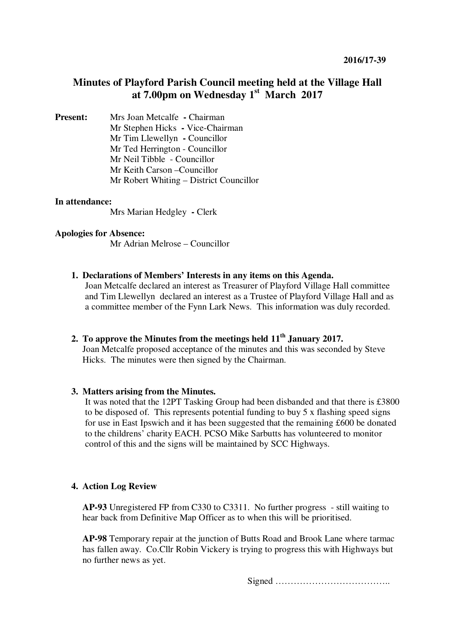# **Minutes of Playford Parish Council meeting held at the Village Hall at 7.00pm on Wednesday 1st March 2017**

**Present:** Mrs Joan Metcalfe **- Chairman** Mr Stephen Hicks **-** Vice-Chairman Mr Tim Llewellyn **-** Councillor Mr Ted Herrington - Councillor Mr Neil Tibble - Councillor Mr Keith Carson –Councillor Mr Robert Whiting – District Councillor

# **In attendance:**

Mrs Marian Hedgley **-** Clerk

#### **Apologies for Absence:**

Mr Adrian Melrose – Councillor

#### **1. Declarations of Members' Interests in any items on this Agenda.**

Joan Metcalfe declared an interest as Treasurer of Playford Village Hall committee and Tim Llewellyn declared an interest as a Trustee of Playford Village Hall and as a committee member of the Fynn Lark News. This information was duly recorded.

## **2. To approve the Minutes from the meetings held 11th January 2017.**  Joan Metcalfe proposed acceptance of the minutes and this was seconded by Steve Hicks. The minutes were then signed by the Chairman.

#### **3. Matters arising from the Minutes.**

It was noted that the 12PT Tasking Group had been disbanded and that there is £3800 to be disposed of. This represents potential funding to buy 5 x flashing speed signs for use in East Ipswich and it has been suggested that the remaining £600 be donated to the childrens' charity EACH. PCSO Mike Sarbutts has volunteered to monitor control of this and the signs will be maintained by SCC Highways.

#### **4. Action Log Review**

**AP-93** Unregistered FP from C330 to C3311. No further progress - still waiting to hear back from Definitive Map Officer as to when this will be prioritised.

**AP-98** Temporary repair at the junction of Butts Road and Brook Lane where tarmac has fallen away. Co.Cllr Robin Vickery is trying to progress this with Highways but no further news as yet.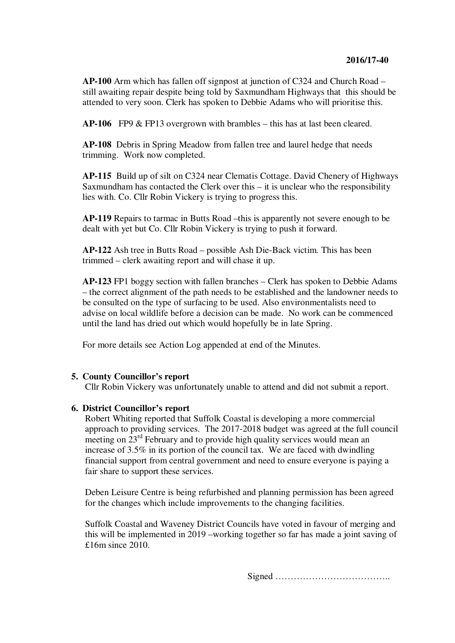**AP-100** Arm which has fallen off signpost at junction of C324 and Church Road – still awaiting repair despite being told by Saxmundham Highways that this should be attended to very soon. Clerk has spoken to Debbie Adams who will prioritise this.

**AP-106** FP9 & FP13 overgrown with brambles – this has at last been cleared.

**AP-108** Debris in Spring Meadow from fallen tree and laurel hedge that needs trimming. Work now completed.

**AP-115** Build up of silt on C324 near Clematis Cottage. David Chenery of Highways Saxmundham has contacted the Clerk over this – it is unclear who the responsibility lies with. Co. Cllr Robin Vickery is trying to progress this.

**AP-119** Repairs to tarmac in Butts Road –this is apparently not severe enough to be dealt with yet but Co. Cllr Robin Vickery is trying to push it forward.

**AP-122** Ash tree in Butts Road – possible Ash Die-Back victim. This has been trimmed – clerk awaiting report and will chase it up.

**AP-123** FP1 boggy section with fallen branches – Clerk has spoken to Debbie Adams – the correct alignment of the path needs to be established and the landowner needs to be consulted on the type of surfacing to be used. Also environmentalists need to advise on local wildlife before a decision can be made. No work can be commenced until the land has dried out which would hopefully be in late Spring.

For more details see Action Log appended at end of the Minutes.

#### **5. County Councillor's report**

Cllr Robin Vickery was unfortunately unable to attend and did not submit a report.

#### **6. District Councillor's report**

Robert Whiting reported that Suffolk Coastal is developing a more commercial approach to providing services. The 2017-2018 budget was agreed at the full council meeting on 23<sup>rd</sup> February and to provide high quality services would mean an increase of 3.5% in its portion of the council tax. We are faced with dwindling financial support from central government and need to ensure everyone is paying a fair share to support these services.

Deben Leisure Centre is being refurbished and planning permission has been agreed for the changes which include improvements to the changing facilities.

Suffolk Coastal and Waveney District Councils have voted in favour of merging and this will be implemented in 2019 –working together so far has made a joint saving of £16m since 2010.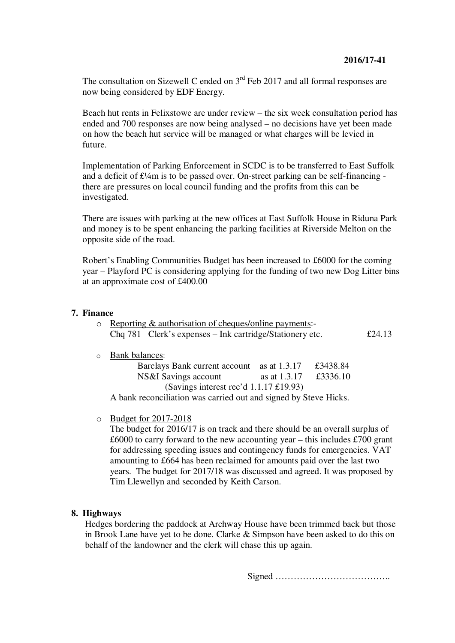The consultation on Sizewell C ended on 3<sup>rd</sup> Feb 2017 and all formal responses are now being considered by EDF Energy.

Beach hut rents in Felixstowe are under review – the six week consultation period has ended and 700 responses are now being analysed – no decisions have yet been made on how the beach hut service will be managed or what charges will be levied in future.

Implementation of Parking Enforcement in SCDC is to be transferred to East Suffolk and a deficit of  $\text{£}4$ m is to be passed over. On-street parking can be self-financing there are pressures on local council funding and the profits from this can be investigated.

There are issues with parking at the new offices at East Suffolk House in Riduna Park and money is to be spent enhancing the parking facilities at Riverside Melton on the opposite side of the road.

Robert's Enabling Communities Budget has been increased to £6000 for the coming year – Playford PC is considering applying for the funding of two new Dog Litter bins at an approximate cost of £400.00

## **7. Finance**

| $\circ$ Reporting & authorisation of cheques/online payments:- |                                                          |        |
|----------------------------------------------------------------|----------------------------------------------------------|--------|
|                                                                | Chq 781 Clerk's expenses – Ink cartridge/Stationery etc. | £24.13 |

#### o Bank balances:

|                                                   | Barclays Bank current account as at 1.3.17 |              | £3438.84 |  |  |
|---------------------------------------------------|--------------------------------------------|--------------|----------|--|--|
|                                                   | NS&I Savings account                       | as at 1.3.17 | £3336.10 |  |  |
| (Savings interest rec'd $1.1.17 \text{ £}19.93$ ) |                                            |              |          |  |  |
| .                                                 |                                            |              |          |  |  |

A bank reconciliation was carried out and signed by Steve Hicks.

o Budget for 2017-2018

The budget for 2016/17 is on track and there should be an overall surplus of  $£6000$  to carry forward to the new accounting year – this includes £700 grant for addressing speeding issues and contingency funds for emergencies. VAT amounting to £664 has been reclaimed for amounts paid over the last two years. The budget for 2017/18 was discussed and agreed. It was proposed by Tim Llewellyn and seconded by Keith Carson.

# **8. Highways**

Hedges bordering the paddock at Archway House have been trimmed back but those in Brook Lane have yet to be done. Clarke & Simpson have been asked to do this on behalf of the landowner and the clerk will chase this up again.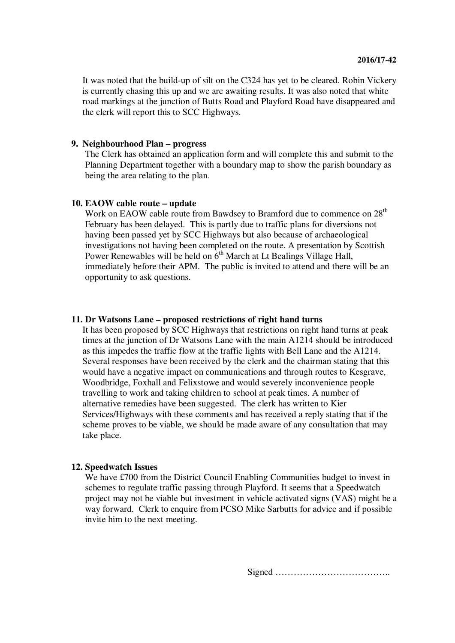It was noted that the build-up of silt on the C324 has yet to be cleared. Robin Vickery is currently chasing this up and we are awaiting results. It was also noted that white road markings at the junction of Butts Road and Playford Road have disappeared and the clerk will report this to SCC Highways.

## **9. Neighbourhood Plan – progress**

The Clerk has obtained an application form and will complete this and submit to the Planning Department together with a boundary map to show the parish boundary as being the area relating to the plan.

#### **10. EAOW cable route – update**

Work on EAOW cable route from Bawdsey to Bramford due to commence on 28<sup>th</sup> February has been delayed. This is partly due to traffic plans for diversions not having been passed yet by SCC Highways but also because of archaeological investigations not having been completed on the route. A presentation by Scottish Power Renewables will be held on  $6<sup>th</sup>$  March at Lt Bealings Village Hall, immediately before their APM. The public is invited to attend and there will be an opportunity to ask questions.

#### **11. Dr Watsons Lane – proposed restrictions of right hand turns**

It has been proposed by SCC Highways that restrictions on right hand turns at peak times at the junction of Dr Watsons Lane with the main A1214 should be introduced as this impedes the traffic flow at the traffic lights with Bell Lane and the A1214. Several responses have been received by the clerk and the chairman stating that this would have a negative impact on communications and through routes to Kesgrave, Woodbridge, Foxhall and Felixstowe and would severely inconvenience people travelling to work and taking children to school at peak times. A number of alternative remedies have been suggested. The clerk has written to Kier Services/Highways with these comments and has received a reply stating that if the scheme proves to be viable, we should be made aware of any consultation that may take place.

#### **12. Speedwatch Issues**

We have £700 from the District Council Enabling Communities budget to invest in schemes to regulate traffic passing through Playford. It seems that a Speedwatch project may not be viable but investment in vehicle activated signs (VAS) might be a way forward. Clerk to enquire from PCSO Mike Sarbutts for advice and if possible invite him to the next meeting.